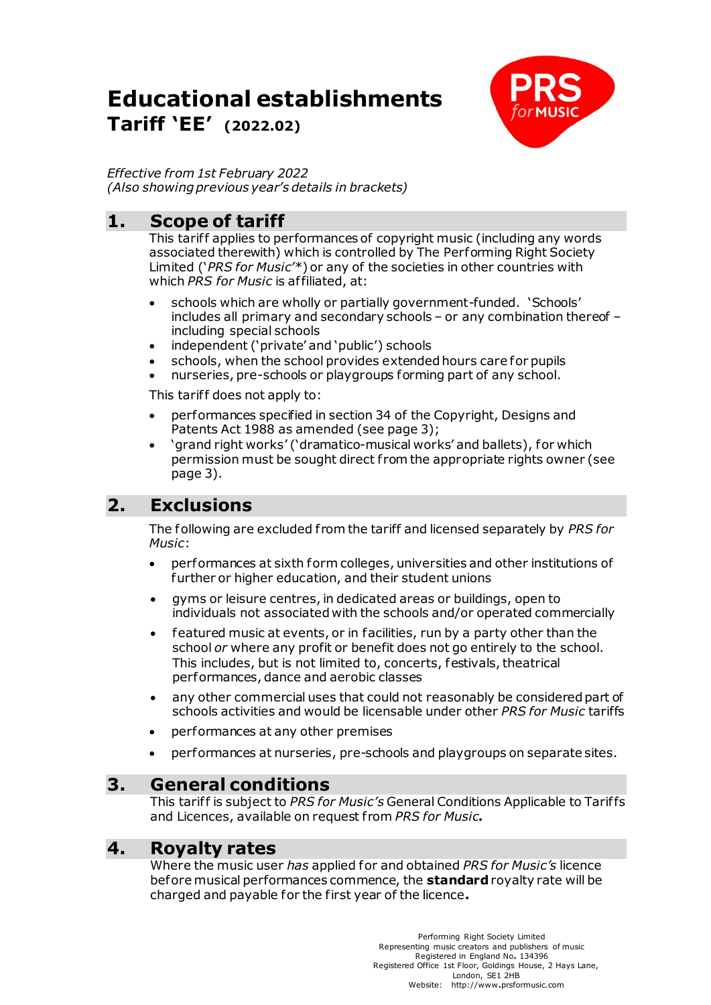# **Educational establishments Tariff 'EE' (2022.02)**



*Effective from 1st February 2022 (Also showing previous year's details in brackets)*

# **1. Scope of tariff**

This tarif f applies to performances of copyright music (including any words associated therewith) which is controlled by The Performing Right Society Limited ('*PRS for Music'*\*) or any of the societies in other countries with which *PRS for Music* is af filiated, at:

- schools which are wholly or partially government-funded. 'Schools' includes all primary and secondary schools – or any combination thereof – including special schools
- independent ('private' and 'public') schools
- schools, when the school provides extended hours care for pupils
- nurseries, pre-schools or playgroups forming part of any school.

This tariff does not apply to:

- performances specified in section 34 of the Copyright, Designs and Patents Act 1988 as amended (see page 3);
- 'grand right works' ('dramatico-musical works' and ballets), for which permission must be sought direct f rom the appropriate rights owner (see page 3).

# **2. Exclusions**

The following are excluded f rom the tariff and licensed separately by *PRS for Music*:

- performances at sixth form colleges, universities and other institutions of further or higher education, and their student unions
- gyms or leisure centres, in dedicated areas or buildings, open to individuals not associated with the schools and/or operated commercially
- featured music at events, or in facilities, run by a party other than the school *or* where any profit or benefit does not go entirely to the school. This includes, but is not limited to, concerts, festivals, theatrical performances, dance and aerobic classes
- any other commercial uses that could not reasonably be considered part of schools activities and would be licensable under other *PRS for Music* tariffs
- performances at any other premises
- performances at nurseries, pre-schools and playgroups on separate sites.

# **3. General conditions**

This tariff is subject to *PRS for Music's* General Conditions Applicable to Tariffs and Licences, available on request f rom *PRS for Music***.**

# **4. Royalty rates**

Where the music user *has* applied for and obtained *PRS for Music's* licence before musical performances commence, the **standard**royalty rate will be charged and payable for the first year of the licence**.**

> Performing Right Society Limited Representing music creators and publishers of music Registered in England No**.** 134396 Registered Office 1st Floor, Goldings House, 2 Hays Lane, London, SE1 2HB Website: http://www**.**prsformusic.com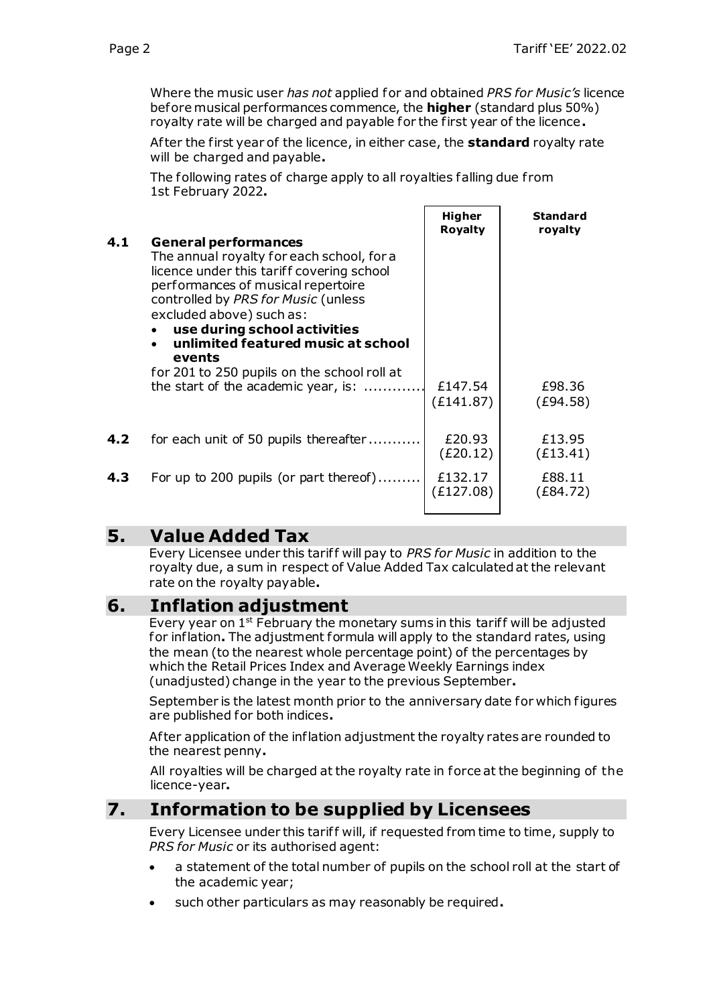Where the music user *has not* applied for and obtained *PRS for Music's* licence before musical performances commence, the **higher** (standard plus 50%) royalty rate will be charged and payable for the first year of the licence**.**

Af ter the first year of the licence, in either case, the **standard** royalty rate will be charged and payable**.**

The following rates of charge apply to all royalties falling due from 1st February 2022**.**

| 4.1 | <b>General performances</b><br>The annual royalty for each school, for a<br>licence under this tariff covering school<br>performances of musical repertoire<br>controlled by PRS for Music (unless<br>excluded above) such as:<br>use during school activities<br>unlimited featured music at school<br>events | Higher<br><b>Royalty</b> | <b>Standard</b><br>royalty |
|-----|----------------------------------------------------------------------------------------------------------------------------------------------------------------------------------------------------------------------------------------------------------------------------------------------------------------|--------------------------|----------------------------|
|     | for 201 to 250 pupils on the school roll at<br>the start of the academic year, is:                                                                                                                                                                                                                             | £147.54<br>(E141.87)     | £98.36<br>(E94.58)         |
| 4.2 | for each unit of 50 pupils thereafter                                                                                                                                                                                                                                                                          | £20.93<br>(E20.12)       | £13.95<br>(E13.41)         |
| 4.3 | For up to 200 pupils (or part thereof)                                                                                                                                                                                                                                                                         | £132.17<br>(£127.08)     | £88.11<br>(E84.72)         |

# **5. Value Added Tax**

Every Licensee under this tarif f will pay to *PRS for Music* in addition to the royalty due, a sum in respect of Value Added Tax calculated at the relevant rate on the royalty payable**.**

# **6. Inflation adjustment**

Every year on  $1^{st}$  February the monetary sums in this tariff will be adjusted for inflation**.** The adjustment formula will apply to the standard rates, using the mean (to the nearest whole percentage point) of the percentages by which the Retail Prices Index and Average Weekly Earnings index (unadjusted) change in the year to the previous September**.**

September is the latest month prior to the anniversary date for which figures are published for both indices**.**

Af ter application of the inflation adjustment the royalty rates are rounded to the nearest penny**.**

All royalties will be charged at the royalty rate in force at the beginning of the licence-year**.**

# **7. Information to be supplied by Licensees**

Every Licensee under this tarif f will, if requested from time to time, supply to *PRS for Music* or its authorised agent:

- a statement of the total number of pupils on the school roll at the start of the academic year;
- such other particulars as may reasonably be required**.**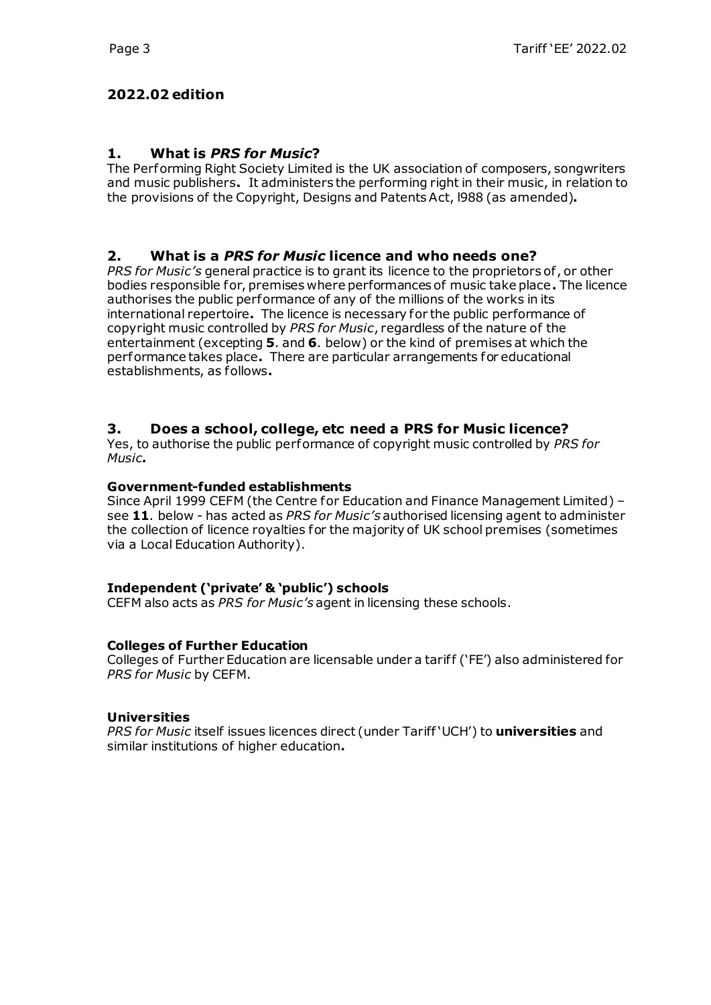# **2022.02 edition**

#### **1. What is** *PRS for Music***?**

The Performing Right Society Limited is the UK association of composers, songwriters and music publishers**.** It administers the performing right in their music, in relation to the provisions of the Copyright, Designs and Patents Act, l988 (as amended)**.**

#### **2. What is a** *PRS for Music* **licence and who needs one?**

*PRS for Music's* general practice is to grant its licence to the proprietors of , or other bodies responsible for, premises where performances of music take place**.** The licence authorises the public performance of any of the millions of the works in its international repertoire**.** The licence is necessary for the public performance of copyright music controlled by *PRS for Music*, regardless of the nature of the entertainment (excepting **5**. and **6**. below) or the kind of premises at which the performance takes place**.** There are particular arrangements for educational establishments, as follows**.**

### **3. Does a school, college, etc need a PRS for Music licence?**

Yes, to authorise the public performance of copyright music controlled by *PRS for Music.*

#### **Government-funded establishments**

Since April 1999 CEFM (the Centre for Education and Finance Management Limited) – see **11**. below - has acted as *PRS for Music's* authorised licensing agent to administer the collection of licence royalties for the majority of UK school premises (sometimes via a Local Education Authority).

#### **Independent ('private' & 'public') schools**

CEFM also acts as *PRS for Music's* agent in licensing these schools.

#### **Colleges of Further Education**

Colleges of Further Education are licensable under a tarif f ('FE') also administered for *PRS for Music* by CEFM.

#### **Universities**

*PRS for Music* itself issues licences direct (under Tariff 'UCH') to **universities** and similar institutions of higher education**.**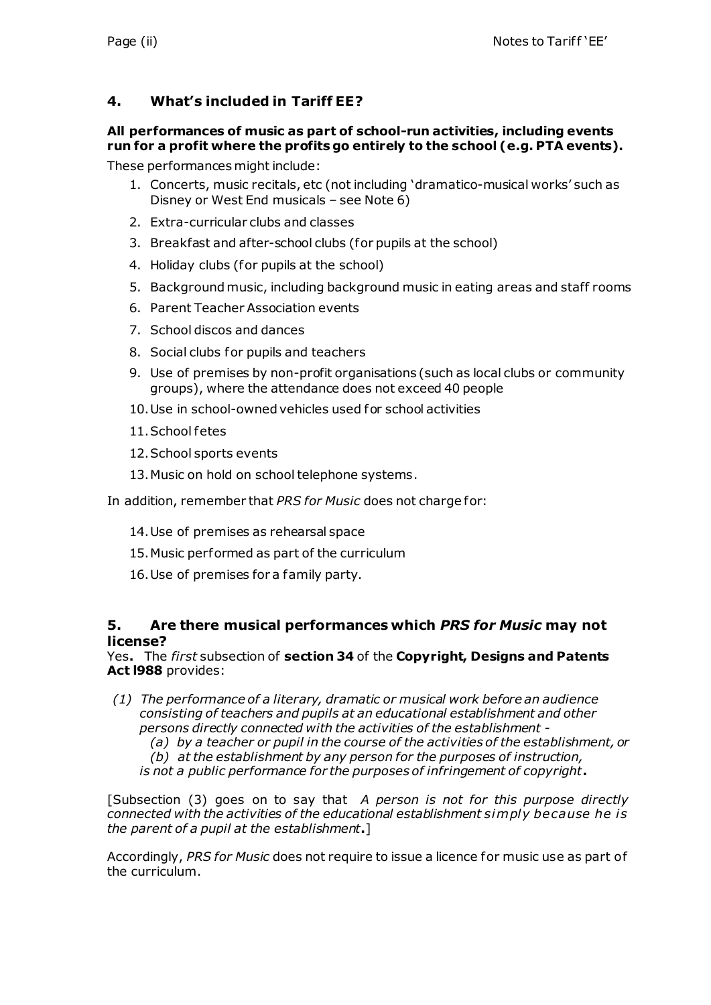# **4. What's included in Tariff EE?**

#### **All performances of music as part of school-run activities, including events run for a profit where the profits go entirely to the school (e.g. PTA events).**

These performances might include:

- 1. Concerts, music recitals, etc (not including 'dramatico-musical works' such as Disney or West End musicals – see Note 6)
- 2. Extra-curricular clubs and classes
- 3. Breakfast and after-school clubs (for pupils at the school)
- 4. Holiday clubs (for pupils at the school)
- 5. Background music, including background music in eating areas and staff rooms
- 6. Parent Teacher Association events
- 7. School discos and dances
- 8. Social clubs for pupils and teachers
- 9. Use of premises by non-profit organisations (such as local clubs or community groups), where the attendance does not exceed 40 people
- 10.Use in school-owned vehicles used for school activities
- 11.School fetes
- 12.School sports events
- 13.Music on hold on school telephone systems.

In addition, remember that *PRS for Music* does not charge for:

- 14.Use of premises as rehearsal space
- 15.Music performed as part of the curriculum
- 16.Use of premises for a family party.

### **5. Are there musical performances which** *PRS for Music* **may not license?**

Yes**.** The *first* subsection of **section 34** of the **Copyright, Designs and Patents Act l988** provides:

- *(1) The performance of a literary, dramatic or musical work before an audience consisting of teachers and pupils at an educational establishment and other persons directly connected with the activities of the establishment -*
	- *(a) by a teacher or pupil in the course of the activities of the establishment, or (b) at the establishment by any person for the purposes of instruction,*
	- *is not a public performance for the purposes of infringement of copyright***.**

[Subsection (3) goes on to say that *A person is not for this purpose directly connected with the activities of the educational establishment simply because he i s the parent of a pupil at the establishment***.**]

Accordingly, *PRS for Music* does not require to issue a licence for music use as part of the curriculum.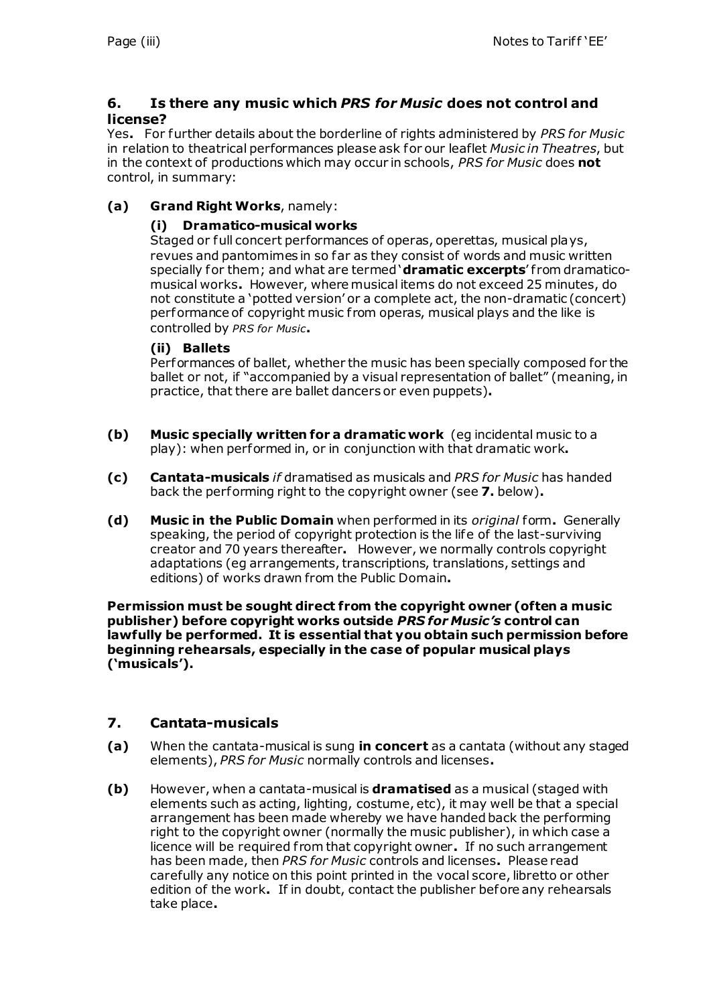### **6. Is there any music which** *PRS for Music* **does not control and license?**

Yes**.** For further details about the borderline of rights administered by *PRS for Music* in relation to theatrical performances please ask for our leaflet *Music in Theatres*, but in the context of productions which may occur in schools, *PRS for Music* does **not** control, in summary:

### **(a) Grand Right Works**, namely:

### **(i) Dramatico-musical works**

Staged or full concert performances of operas, operettas, musical plays, revues and pantomimes in so far as they consist of words and music written specially for them; and what are termed '**dramatic excerpts**' f rom dramaticomusical works**.** However, where musical items do not exceed 25 minutes, do not constitute a 'potted version' or a complete act, the non-dramatic (concert) performance of copyright music f rom operas, musical plays and the like is controlled by *PRS for Music***.**

#### **(ii) Ballets**

Performances of ballet, whether the music has been specially composed for the ballet or not, if "accompanied by a visual representation of ballet" (meaning, in practice, that there are ballet dancers or even puppets)**.**

- **(b) Music specially written for a dramatic work** (eg incidental music to a play): when performed in, or in conjunction with that dramatic work**.**
- **(c) Cantata-musicals** *if* dramatised as musicals and *PRS for Music* has handed back the performing right to the copyright owner (see **7.** below)**.**
- **(d) Music in the Public Domain** when performed in its *original* form**.** Generally speaking, the period of copyright protection is the life of the last-surviving creator and 70 years thereafter**.** However, we normally controls copyright adaptations (eg arrangements, transcriptions, translations, settings and editions) of works drawn from the Public Domain**.**

**Permission must be sought direct from the copyright owner (often a music publisher) before copyright works outside** *PRS for Music's* **control can lawfully be performed. It is essential that you obtain such permission before beginning rehearsals, especially in the case of popular musical plays ('musicals').**

### **7. Cantata-musicals**

- **(a)** When the cantata-musical is sung **in concert** as a cantata (without any staged elements), *PRS for Music* normally controls and licenses**.**
- **(b)** However, when a cantata-musical is **dramatised** as a musical (staged with elements such as acting, lighting, costume, etc), it may well be that a special arrangement has been made whereby we have handed back the performing right to the copyright owner (normally the music publisher), in which case a licence will be required f rom that copyright owner**.** If no such arrangement has been made, then *PRS for Music* controls and licenses**.** Please read carefully any notice on this point printed in the vocal score, libretto or other edition of the work**.** If in doubt, contact the publisher before any rehearsals take place**.**